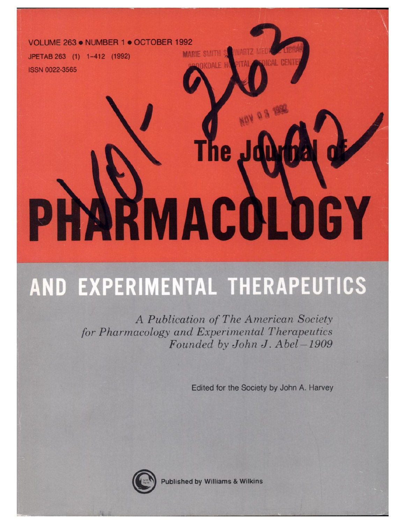#### **VOLUME 263. NUMBER 1** . **OCTOBER 1992**

**JPETAB** 263 (1) 1-412 (1992) **ISSN 0022-3565** 

# **I**  $W_{\Omega A}$  or  $\blacksquare$ **ARMACOLOGY**

## AND EXPERIMENTAL THERAPEUTICS

*A Publication of The American Society for Pharmacology and Experimental Therapeutics Founded by John J. Abel-1909*

Edited for the Society by John A. Harvey



Published by Williams & Wilkins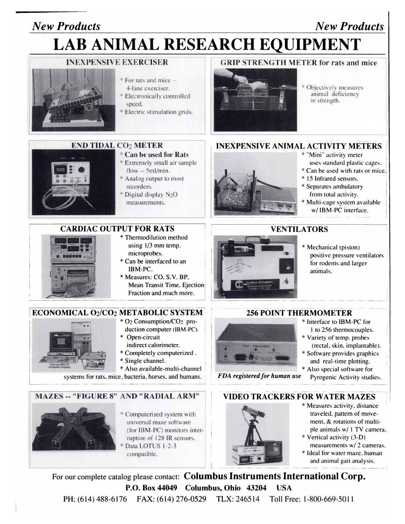### *New Products New Products*

## **LAB ANIMAL RESEARCH EQUIPMENT**



- \* For rats and mice --4-lane exerciser.
- Electronically controlled speed.
- Electric stimulation grids.

### **INEXPENSIVE EXERCISER GRIP STRENGTH METER for rats and mice**



Objectively measures animal deficiency in strength.

#### **INEXPENSIVE ANIMAL ACTIVITY METERS**



- \* **Can be used for Rats**
	- \* Extremely small air sample flow -- 5m1/min.
	- \* Analog output to most recorders.
	- Digital display N<sub>2</sub>O measurements.

#### **CARDIAC OUTPUT FOR RATS**



- \* Thermodilution method using 1/3 mm temp. microprobes.
- \* Can be interfaced to an IBM-PC.
- \* Measures: CO. S.V. BP, Mean Transit Time, Ejection Fraction and much more.

#### **ECONOMICAL** 021C02 **METABOLIC SYSTEM**



- \* 02 Consumption/C02 production computer (IBM-PC). \* Open-circuit
- indirect calorimeter.
- \* Completely computerized.
- \* Single channel.
- \* Also available-multi-channel

systems for rats, mice, bacteria, horses, and humans.

#### MAZES -- **"FIGURE 8" AND "RADIAL ARM"**



Computerized system with universal maze software (for IBM-PC) monitors interruption of 128 IR sensors. Data LOTUS 1-2-3 compatible.



- \* "Mini" activity meter uses standard plastic cages.
- \* Can be used with rats or mice.
- \* 15 Infrared sensors.
- \* Separates ambulatory from total activity.
- \* Multi-cage system available *\_\_\_* w/ IBM-PC interface.

#### **VENTILATORS**

\* Mechanical (piston) positive pressure ventilators for rodents and larger animals.

# **SO-THERMEX**

- 256 **POINT THERMOMETER** \* Interface to IBM-PC for
	- I to 256 thermocouples.
	- \* Variety of temp. probes (rectal, skin, implantable).
	- \* Software provides graphics and real-time plotting.
	- \* Also special software for
- *FDA registered for human use* Pyrogenic Activity studies.





- \* Measures activity, distance traveled, pattem of move ment, & rotations of multiple animals w/ 1 TV camera.
- \* Vertical activity (3-D) measurements w/ 2 cameras.
- \* Ideal for water maze, human and animal gait analysis.

PH: (614) 488-6176 FAX: (614) 276-0529 TLX: 246514 Toll Free: 1-800-669-5011 For our complete catalog please contact: **Columbus Instruments International Corp. P.O. Box 44049 Columbus, Ohio 43204 USA**